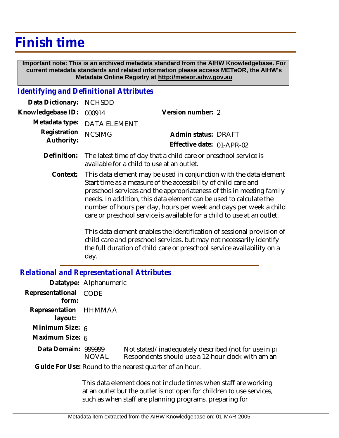## **Finish time**

 **Important note: This is an archived metadata standard from the AIHW Knowledgebase. For current metadata standards and related information please access METeOR, the AIHW's Metadata Online Registry at http://meteor.aihw.gov.au**

## *Identifying and Definitional Attributes*

| Data Dictionary: NCHSDD           |                             |                                                  |  |
|-----------------------------------|-----------------------------|--------------------------------------------------|--|
| Knowledgebase ID: 000914          |                             | Version number: 2                                |  |
|                                   | Metadata type: DATA ELEMENT |                                                  |  |
| Registration NCSIMG<br>Authority: |                             | Admin status: DRAFT<br>Effective date: 01-APR-02 |  |
|                                   |                             |                                                  |  |

- Definition: The latest time of day that a child care or preschool service is available for a child to use at an outlet.
	- This data element may be used in conjunction with the data element Start time as a measure of the accessibility of child care and preschool services and the appropriateness of this in meeting family needs. In addition, this data element can be used to calculate the number of hours per day, hours per week and days per week a child care or preschool service is available for a child to use at an outlet. **Context:**

This data element enables the identification of sessional provision of child care and preschool services, but may not necessarily identify the full duration of child care or preschool service availability on a day.

## *Relational and Representational Attributes*

|                                  | Datatype: Alphanumeric |                                                                                                             |
|----------------------------------|------------------------|-------------------------------------------------------------------------------------------------------------|
| Representational<br>form:        | <b>CODE</b>            |                                                                                                             |
| Representation HHMMAA<br>layout: |                        |                                                                                                             |
| Minimum Size: 6                  |                        |                                                                                                             |
| Maximum Size: 6                  |                        |                                                                                                             |
| Data Domain: 999999              | <b>NOVAL</b>           | Not stated/inadequately described (not for use in pro-<br>Respondents should use a 12-hour clock with am an |
|                                  |                        | Guide For Use: Round to the nearest quarter of an hour.                                                     |

This data element does not include times when staff are working at an outlet but the outlet is not open for children to use services, such as when staff are planning programs, preparing for